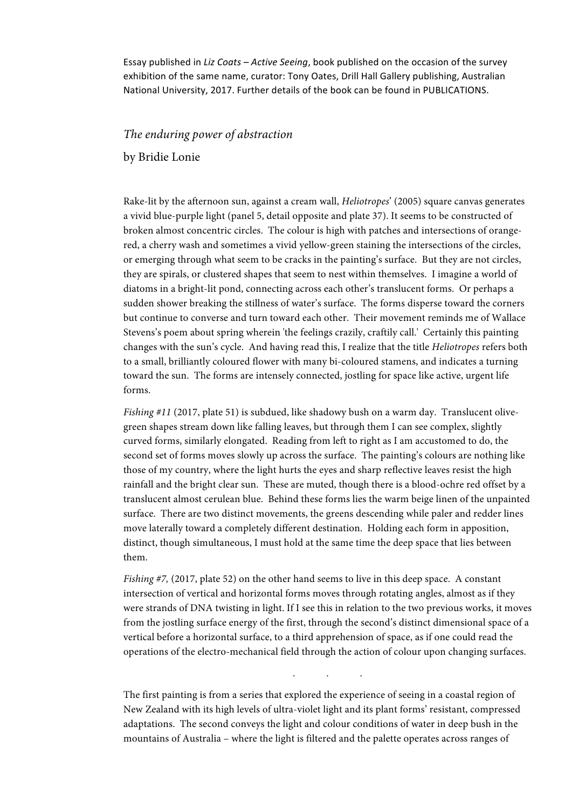Essay published in *Liz Coats – Active Seeing*, book published on the occasion of the survey exhibition of the same name, curator: Tony Oates, Drill Hall Gallery publishing, Australian National University, 2017. Further details of the book can be found in PUBLICATIONS.

# *The enduring power of abstraction*

by Bridie Lonie

Rake-lit by the afternoon sun, against a cream wall, *Heliotropes*' (2005) square canvas generates a vivid blue-purple light (panel 5, detail opposite and plate 37). It seems to be constructed of broken almost concentric circles. The colour is high with patches and intersections of orangered, a cherry wash and sometimes a vivid yellow-green staining the intersections of the circles, or emerging through what seem to be cracks in the painting's surface. But they are not circles, they are spirals, or clustered shapes that seem to nest within themselves. I imagine a world of diatoms in a bright-lit pond, connecting across each other's translucent forms. Or perhaps a sudden shower breaking the stillness of water's surface. The forms disperse toward the corners but continue to converse and turn toward each other. Their movement reminds me of Wallace Stevens's poem about spring wherein 'the feelings crazily, craftily call.' Certainly this painting changes with the sun's cycle. And having read this, I realize that the title *Heliotropes* refers both to a small, brilliantly coloured flower with many bi-coloured stamens, and indicates a turning toward the sun. The forms are intensely connected, jostling for space like active, urgent life forms.

*Fishing #11* (2017, plate 51) is subdued, like shadowy bush on a warm day. Translucent olivegreen shapes stream down like falling leaves, but through them I can see complex, slightly curved forms, similarly elongated. Reading from left to right as I am accustomed to do, the second set of forms moves slowly up across the surface. The painting's colours are nothing like those of my country, where the light hurts the eyes and sharp reflective leaves resist the high rainfall and the bright clear sun. These are muted, though there is a blood-ochre red offset by a translucent almost cerulean blue. Behind these forms lies the warm beige linen of the unpainted surface. There are two distinct movements, the greens descending while paler and redder lines move laterally toward a completely different destination. Holding each form in apposition, distinct, though simultaneous, I must hold at the same time the deep space that lies between them.

*Fishing #7,* (2017, plate 52) on the other hand seems to live in this deep space. A constant intersection of vertical and horizontal forms moves through rotating angles, almost as if they were strands of DNA twisting in light. If I see this in relation to the two previous works, it moves from the jostling surface energy of the first, through the second's distinct dimensional space of a vertical before a horizontal surface, to a third apprehension of space, as if one could read the operations of the electro-mechanical field through the action of colour upon changing surfaces.

. . .

The first painting is from a series that explored the experience of seeing in a coastal region of New Zealand with its high levels of ultra-violet light and its plant forms' resistant, compressed adaptations. The second conveys the light and colour conditions of water in deep bush in the mountains of Australia – where the light is filtered and the palette operates across ranges of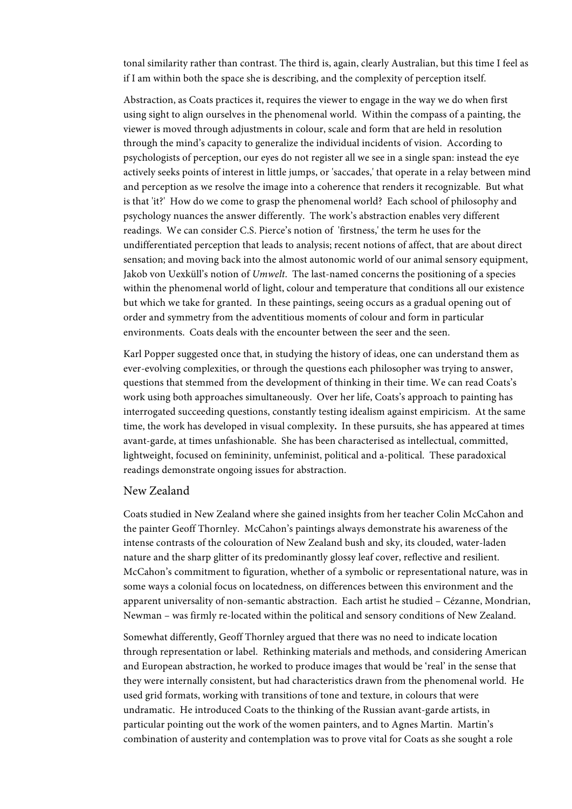tonal similarity rather than contrast. The third is, again, clearly Australian, but this time I feel as if I am within both the space she is describing, and the complexity of perception itself.

Abstraction, as Coats practices it, requires the viewer to engage in the way we do when first using sight to align ourselves in the phenomenal world. Within the compass of a painting, the viewer is moved through adjustments in colour, scale and form that are held in resolution through the mind's capacity to generalize the individual incidents of vision. According to psychologists of perception, our eyes do not register all we see in a single span: instead the eye actively seeks points of interest in little jumps, or 'saccades,' that operate in a relay between mind and perception as we resolve the image into a coherence that renders it recognizable. But what is that 'it?' How do we come to grasp the phenomenal world? Each school of philosophy and psychology nuances the answer differently. The work's abstraction enables very different readings. We can consider C.S. Pierce's notion of 'firstness,' the term he uses for the undifferentiated perception that leads to analysis; recent notions of affect, that are about direct sensation; and moving back into the almost autonomic world of our animal sensory equipment, Jakob von Uexküll's notion of *Umwelt*. The last-named concerns the positioning of a species within the phenomenal world of light, colour and temperature that conditions all our existence but which we take for granted. In these paintings, seeing occurs as a gradual opening out of order and symmetry from the adventitious moments of colour and form in particular environments. Coats deals with the encounter between the seer and the seen.

Karl Popper suggested once that, in studying the history of ideas, one can understand them as ever-evolving complexities, or through the questions each philosopher was trying to answer, questions that stemmed from the development of thinking in their time. We can read Coats's work using both approaches simultaneously. Over her life, Coats's approach to painting has interrogated succeeding questions, constantly testing idealism against empiricism. At the same time, the work has developed in visual complexity**.** In these pursuits, she has appeared at times avant-garde, at times unfashionable. She has been characterised as intellectual, committed, lightweight, focused on femininity, unfeminist, political and a-political. These paradoxical readings demonstrate ongoing issues for abstraction.

## New Zealand

Coats studied in New Zealand where she gained insights from her teacher Colin McCahon and the painter Geoff Thornley. McCahon's paintings always demonstrate his awareness of the intense contrasts of the colouration of New Zealand bush and sky, its clouded, water-laden nature and the sharp glitter of its predominantly glossy leaf cover, reflective and resilient. McCahon's commitment to figuration, whether of a symbolic or representational nature, was in some ways a colonial focus on locatedness, on differences between this environment and the apparent universality of non-semantic abstraction. Each artist he studied – Cézanne, Mondrian, Newman – was firmly re-located within the political and sensory conditions of New Zealand.

Somewhat differently, Geoff Thornley argued that there was no need to indicate location through representation or label. Rethinking materials and methods, and considering American and European abstraction, he worked to produce images that would be 'real' in the sense that they were internally consistent, but had characteristics drawn from the phenomenal world. He used grid formats, working with transitions of tone and texture, in colours that were undramatic. He introduced Coats to the thinking of the Russian avant-garde artists, in particular pointing out the work of the women painters, and to Agnes Martin. Martin's combination of austerity and contemplation was to prove vital for Coats as she sought a role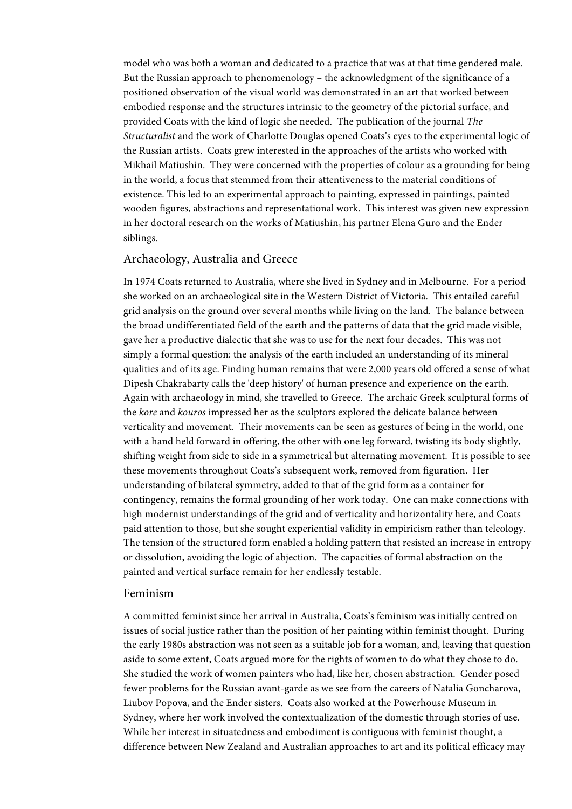model who was both a woman and dedicated to a practice that was at that time gendered male. But the Russian approach to phenomenology – the acknowledgment of the significance of a positioned observation of the visual world was demonstrated in an art that worked between embodied response and the structures intrinsic to the geometry of the pictorial surface, and provided Coats with the kind of logic she needed. The publication of the journal *The Structuralist* and the work of Charlotte Douglas opened Coats's eyes to the experimental logic of the Russian artists. Coats grew interested in the approaches of the artists who worked with Mikhail Matiushin. They were concerned with the properties of colour as a grounding for being in the world, a focus that stemmed from their attentiveness to the material conditions of existence. This led to an experimental approach to painting, expressed in paintings, painted wooden figures, abstractions and representational work. This interest was given new expression in her doctoral research on the works of Matiushin, his partner Elena Guro and the Ender siblings.

## Archaeology, Australia and Greece

In 1974 Coats returned to Australia, where she lived in Sydney and in Melbourne. For a period she worked on an archaeological site in the Western District of Victoria. This entailed careful grid analysis on the ground over several months while living on the land. The balance between the broad undifferentiated field of the earth and the patterns of data that the grid made visible, gave her a productive dialectic that she was to use for the next four decades. This was not simply a formal question: the analysis of the earth included an understanding of its mineral qualities and of its age. Finding human remains that were 2,000 years old offered a sense of what Dipesh Chakrabarty calls the 'deep history' of human presence and experience on the earth. Again with archaeology in mind, she travelled to Greece. The archaic Greek sculptural forms of the *kore* and *kouros* impressed her as the sculptors explored the delicate balance between verticality and movement. Their movements can be seen as gestures of being in the world, one with a hand held forward in offering, the other with one leg forward, twisting its body slightly, shifting weight from side to side in a symmetrical but alternating movement. It is possible to see these movements throughout Coats's subsequent work, removed from figuration. Her understanding of bilateral symmetry, added to that of the grid form as a container for contingency, remains the formal grounding of her work today. One can make connections with high modernist understandings of the grid and of verticality and horizontality here, and Coats paid attention to those, but she sought experiential validity in empiricism rather than teleology. The tension of the structured form enabled a holding pattern that resisted an increase in entropy or dissolution**,** avoiding the logic of abjection. The capacities of formal abstraction on the painted and vertical surface remain for her endlessly testable.

# Feminism

A committed feminist since her arrival in Australia, Coats's feminism was initially centred on issues of social justice rather than the position of her painting within feminist thought. During the early 1980s abstraction was not seen as a suitable job for a woman, and, leaving that question aside to some extent, Coats argued more for the rights of women to do what they chose to do. She studied the work of women painters who had, like her, chosen abstraction. Gender posed fewer problems for the Russian avant-garde as we see from the careers of Natalia Goncharova, Liubov Popova, and the Ender sisters. Coats also worked at the Powerhouse Museum in Sydney, where her work involved the contextualization of the domestic through stories of use. While her interest in situatedness and embodiment is contiguous with feminist thought, a difference between New Zealand and Australian approaches to art and its political efficacy may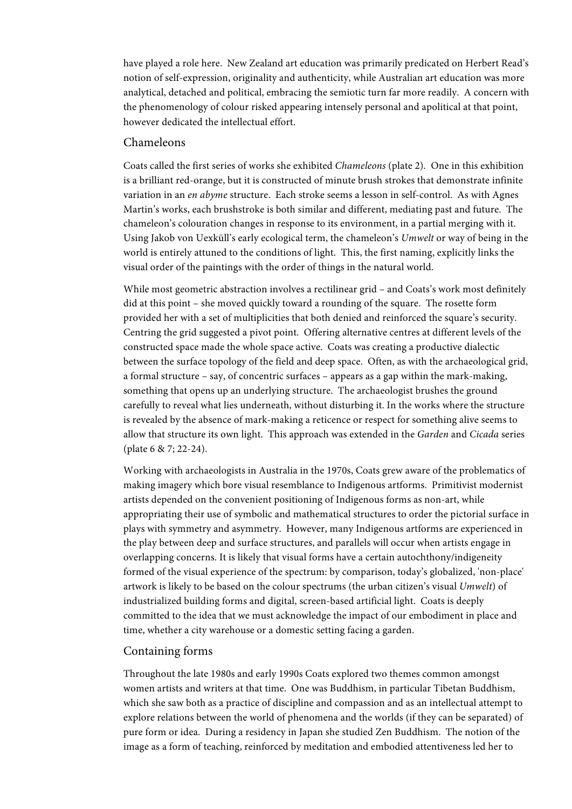have played a role here. New Zealand art education was primarily predicated on Herbert Read's notion of self-expression, originality and authenticity, while Australian art education was more analytical, detached and political, embracing the semiotic turn far more readily. A concern with the phenomenology of colour risked appearing intensely personal and apolitical at that point, however dedicated the intellectual effort.

# Chameleons

Coats called the first series of works she exhibited *Chameleons* (plate 2)*.* One in this exhibition is a brilliant red-orange, but it is constructed of minute brush strokes that demonstrate infinite variation in an *en abyme* structure. Each stroke seems a lesson in self-control. As with Agnes Martin's works, each brushstroke is both similar and different, mediating past and future. The chameleon's colouration changes in response to its environment, in a partial merging with it. Using Jakob von Uexküll's early ecological term, the chameleon's *Umwelt* or way of being in the world is entirely attuned to the conditions of light. This, the first naming, explicitly links the visual order of the paintings with the order of things in the natural world.

While most geometric abstraction involves a rectilinear grid – and Coats's work most definitely did at this point – she moved quickly toward a rounding of the square. The rosette form provided her with a set of multiplicities that both denied and reinforced the square's security. Centring the grid suggested a pivot point. Offering alternative centres at different levels of the constructed space made the whole space active. Coats was creating a productive dialectic between the surface topology of the field and deep space. Often, as with the archaeological grid, a formal structure – say, of concentric surfaces – appears as a gap within the mark-making, something that opens up an underlying structure. The archaeologist brushes the ground carefully to reveal what lies underneath, without disturbing it. In the works where the structure is revealed by the absence of mark-making a reticence or respect for something alive seems to allow that structure its own light. This approach was extended in the *Garden* and *Cicada* series (plate 6 & 7; 22-24).

Working with archaeologists in Australia in the 1970s, Coats grew aware of the problematics of making imagery which bore visual resemblance to Indigenous artforms. Primitivist modernist artists depended on the convenient positioning of Indigenous forms as non-art, while appropriating their use of symbolic and mathematical structures to order the pictorial surface in plays with symmetry and asymmetry. However, many Indigenous artforms are experienced in the play between deep and surface structures, and parallels will occur when artists engage in overlapping concerns. It is likely that visual forms have a certain autochthony/indigeneity formed of the visual experience of the spectrum: by comparison, today's globalized, 'non-place' artwork is likely to be based on the colour spectrums (the urban citizen's visual *Umwelt*) of industrialized building forms and digital, screen-based artificial light. Coats is deeply committed to the idea that we must acknowledge the impact of our embodiment in place and time, whether a city warehouse or a domestic setting facing a garden.

# Containing forms

Throughout the late 1980s and early 1990s Coats explored two themes common amongst women artists and writers at that time. One was Buddhism, in particular Tibetan Buddhism, which she saw both as a practice of discipline and compassion and as an intellectual attempt to explore relations between the world of phenomena and the worlds (if they can be separated) of pure form or idea. During a residency in Japan she studied Zen Buddhism. The notion of the image as a form of teaching, reinforced by meditation and embodied attentiveness led her to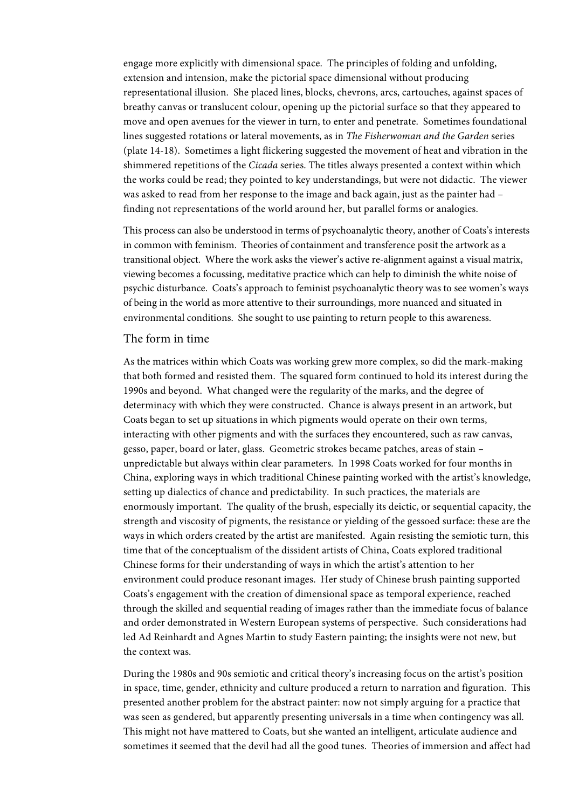engage more explicitly with dimensional space. The principles of folding and unfolding, extension and intension, make the pictorial space dimensional without producing representational illusion. She placed lines, blocks, chevrons, arcs, cartouches, against spaces of breathy canvas or translucent colour, opening up the pictorial surface so that they appeared to move and open avenues for the viewer in turn, to enter and penetrate. Sometimes foundational lines suggested rotations or lateral movements, as in *The Fisherwoman and the Garden* series (plate 14-18). Sometimes a light flickering suggested the movement of heat and vibration in the shimmered repetitions of the *Cicada* series. The titles always presented a context within which the works could be read; they pointed to key understandings, but were not didactic. The viewer was asked to read from her response to the image and back again, just as the painter had – finding not representations of the world around her, but parallel forms or analogies.

This process can also be understood in terms of psychoanalytic theory, another of Coats's interests in common with feminism. Theories of containment and transference posit the artwork as a transitional object. Where the work asks the viewer's active re-alignment against a visual matrix, viewing becomes a focussing, meditative practice which can help to diminish the white noise of psychic disturbance. Coats's approach to feminist psychoanalytic theory was to see women's ways of being in the world as more attentive to their surroundings, more nuanced and situated in environmental conditions. She sought to use painting to return people to this awareness.

#### The form in time

As the matrices within which Coats was working grew more complex, so did the mark-making that both formed and resisted them. The squared form continued to hold its interest during the 1990s and beyond. What changed were the regularity of the marks, and the degree of determinacy with which they were constructed. Chance is always present in an artwork, but Coats began to set up situations in which pigments would operate on their own terms, interacting with other pigments and with the surfaces they encountered, such as raw canvas, gesso, paper, board or later, glass. Geometric strokes became patches, areas of stain – unpredictable but always within clear parameters. In 1998 Coats worked for four months in China, exploring ways in which traditional Chinese painting worked with the artist's knowledge, setting up dialectics of chance and predictability. In such practices, the materials are enormously important. The quality of the brush, especially its deictic, or sequential capacity, the strength and viscosity of pigments, the resistance or yielding of the gessoed surface: these are the ways in which orders created by the artist are manifested. Again resisting the semiotic turn, this time that of the conceptualism of the dissident artists of China, Coats explored traditional Chinese forms for their understanding of ways in which the artist's attention to her environment could produce resonant images. Her study of Chinese brush painting supported Coats's engagement with the creation of dimensional space as temporal experience, reached through the skilled and sequential reading of images rather than the immediate focus of balance and order demonstrated in Western European systems of perspective. Such considerations had led Ad Reinhardt and Agnes Martin to study Eastern painting; the insights were not new, but the context was.

During the 1980s and 90s semiotic and critical theory's increasing focus on the artist's position in space, time, gender, ethnicity and culture produced a return to narration and figuration. This presented another problem for the abstract painter: now not simply arguing for a practice that was seen as gendered, but apparently presenting universals in a time when contingency was all. This might not have mattered to Coats, but she wanted an intelligent, articulate audience and sometimes it seemed that the devil had all the good tunes. Theories of immersion and affect had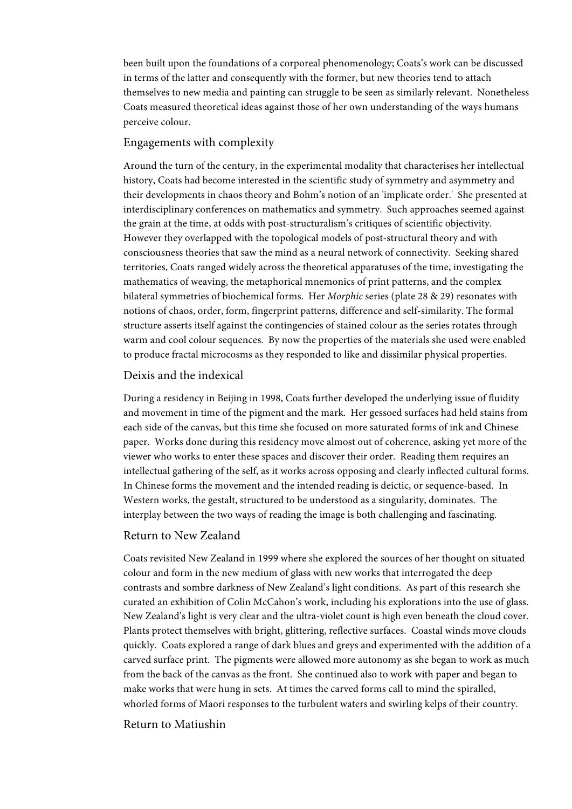been built upon the foundations of a corporeal phenomenology; Coats's work can be discussed in terms of the latter and consequently with the former, but new theories tend to attach themselves to new media and painting can struggle to be seen as similarly relevant. Nonetheless Coats measured theoretical ideas against those of her own understanding of the ways humans perceive colour.

## Engagements with complexity

Around the turn of the century, in the experimental modality that characterises her intellectual history, Coats had become interested in the scientific study of symmetry and asymmetry and their developments in chaos theory and Bohm's notion of an 'implicate order.' She presented at interdisciplinary conferences on mathematics and symmetry. Such approaches seemed against the grain at the time, at odds with post-structuralism's critiques of scientific objectivity. However they overlapped with the topological models of post-structural theory and with consciousness theories that saw the mind as a neural network of connectivity. Seeking shared territories, Coats ranged widely across the theoretical apparatuses of the time, investigating the mathematics of weaving, the metaphorical mnemonics of print patterns, and the complex bilateral symmetries of biochemical forms. Her *Morphic* series (plate 28 & 29) resonates with notions of chaos, order, form, fingerprint patterns, difference and self-similarity. The formal structure asserts itself against the contingencies of stained colour as the series rotates through warm and cool colour sequences. By now the properties of the materials she used were enabled to produce fractal microcosms as they responded to like and dissimilar physical properties.

# Deixis and the indexical

During a residency in Beijing in 1998, Coats further developed the underlying issue of fluidity and movement in time of the pigment and the mark. Her gessoed surfaces had held stains from each side of the canvas, but this time she focused on more saturated forms of ink and Chinese paper. Works done during this residency move almost out of coherence, asking yet more of the viewer who works to enter these spaces and discover their order. Reading them requires an intellectual gathering of the self, as it works across opposing and clearly inflected cultural forms. In Chinese forms the movement and the intended reading is deictic, or sequence-based. In Western works, the gestalt, structured to be understood as a singularity, dominates. The interplay between the two ways of reading the image is both challenging and fascinating.

## Return to New Zealand

Coats revisited New Zealand in 1999 where she explored the sources of her thought on situated colour and form in the new medium of glass with new works that interrogated the deep contrasts and sombre darkness of New Zealand's light conditions. As part of this research she curated an exhibition of Colin McCahon's work, including his explorations into the use of glass. New Zealand's light is very clear and the ultra-violet count is high even beneath the cloud cover. Plants protect themselves with bright, glittering, reflective surfaces. Coastal winds move clouds quickly. Coats explored a range of dark blues and greys and experimented with the addition of a carved surface print. The pigments were allowed more autonomy as she began to work as much from the back of the canvas as the front. She continued also to work with paper and began to make works that were hung in sets. At times the carved forms call to mind the spiralled, whorled forms of Maori responses to the turbulent waters and swirling kelps of their country.

## Return to Matiushin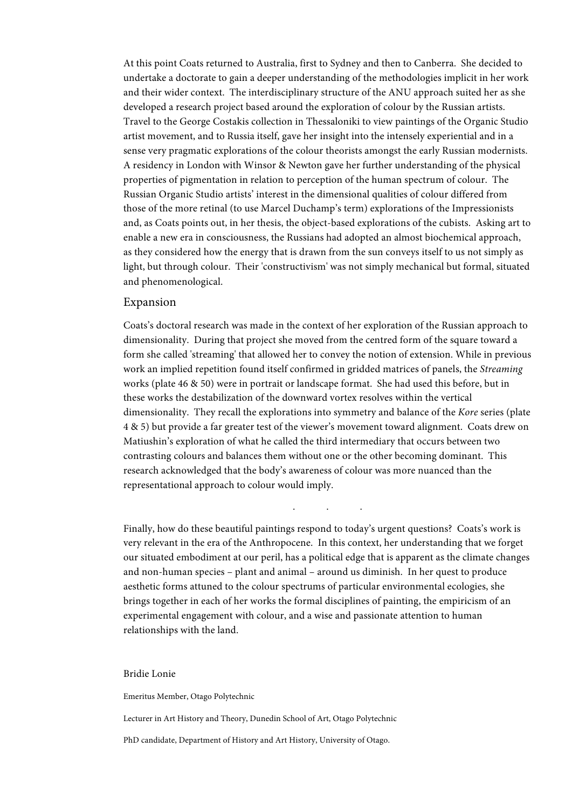At this point Coats returned to Australia, first to Sydney and then to Canberra. She decided to undertake a doctorate to gain a deeper understanding of the methodologies implicit in her work and their wider context. The interdisciplinary structure of the ANU approach suited her as she developed a research project based around the exploration of colour by the Russian artists. Travel to the George Costakis collection in Thessaloniki to view paintings of the Organic Studio artist movement, and to Russia itself, gave her insight into the intensely experiential and in a sense very pragmatic explorations of the colour theorists amongst the early Russian modernists. A residency in London with Winsor & Newton gave her further understanding of the physical properties of pigmentation in relation to perception of the human spectrum of colour. The Russian Organic Studio artists' interest in the dimensional qualities of colour differed from those of the more retinal (to use Marcel Duchamp's term) explorations of the Impressionists and, as Coats points out, in her thesis, the object-based explorations of the cubists. Asking art to enable a new era in consciousness, the Russians had adopted an almost biochemical approach, as they considered how the energy that is drawn from the sun conveys itself to us not simply as light, but through colour. Their 'constructivism' was not simply mechanical but formal, situated and phenomenological.

## Expansion

Coats's doctoral research was made in the context of her exploration of the Russian approach to dimensionality. During that project she moved from the centred form of the square toward a form she called 'streaming' that allowed her to convey the notion of extension. While in previous work an implied repetition found itself confirmed in gridded matrices of panels, the *Streaming* works (plate 46 & 50) were in portrait or landscape format. She had used this before, but in these works the destabilization of the downward vortex resolves within the vertical dimensionality. They recall the explorations into symmetry and balance of the *Kore* series (plate 4 & 5) but provide a far greater test of the viewer's movement toward alignment. Coats drew on Matiushin's exploration of what he called the third intermediary that occurs between two contrasting colours and balances them without one or the other becoming dominant. This research acknowledged that the body's awareness of colour was more nuanced than the representational approach to colour would imply.

Finally, how do these beautiful paintings respond to today's urgent questions? Coats's work is very relevant in the era of the Anthropocene. In this context, her understanding that we forget our situated embodiment at our peril, has a political edge that is apparent as the climate changes and non-human species – plant and animal – around us diminish. In her quest to produce aesthetic forms attuned to the colour spectrums of particular environmental ecologies, she brings together in each of her works the formal disciplines of painting, the empiricism of an experimental engagement with colour, and a wise and passionate attention to human relationships with the land.

. . .

#### Bridie Lonie

Emeritus Member, Otago Polytechnic

Lecturer in Art History and Theory, Dunedin School of Art, Otago Polytechnic

PhD candidate, Department of History and Art History, University of Otago.